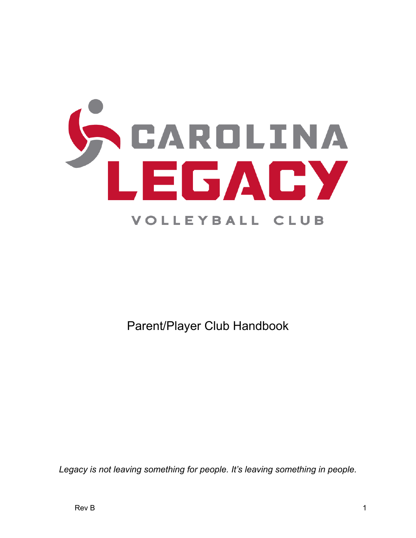

Parent/Player Club Handbook

*Legacy is not leaving something for people. It's leaving something in people.*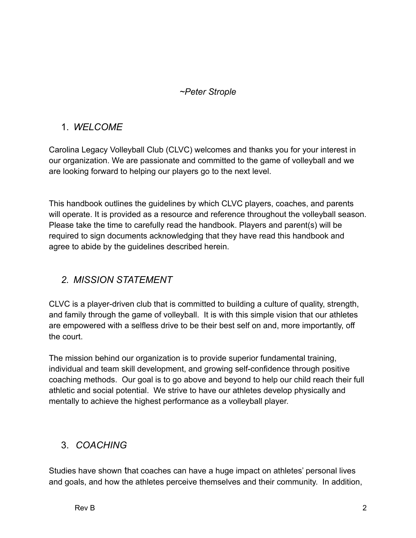#### *~Peter Strople*

## 1. *WELCOME*

Carolina Legacy Volleyball Club (CLVC) welcomes and thanks you for your interest in our organization. We are passionate and committed to the game of volleyball and we are looking forward to helping our players go to the next level.

This handbook outlines the guidelines by which CLVC players, coaches, and parents will operate. It is provided as a resource and reference throughout the volleyball season. Please take the time to carefully read the handbook. Players and parent(s) will be required to sign documents acknowledging that they have read this handbook and agree to abide by the guidelines described herein.

## *2. MISSION STATEMENT*

CLVC is a player-driven club that is committed to building a culture of quality, strength, and family through the game of volleyball. It is with this simple vision that our athletes are empowered with a selfless drive to be their best self on and, more importantly, off the court.

The mission behind our organization is to provide superior fundamental training, individual and team skill development, and growing self-confidence through positive coaching methods. Our goal is to go above and beyond to help our child reach their full athletic and social potential. We strive to have our athletes develop physically and mentally to achieve the highest performance as a volleyball player.

# 3. *COACHING*

Studies have shown that coaches can have a huge impact on athletes' personal lives and goals, and how the athletes perceive themselves and their community. In addition,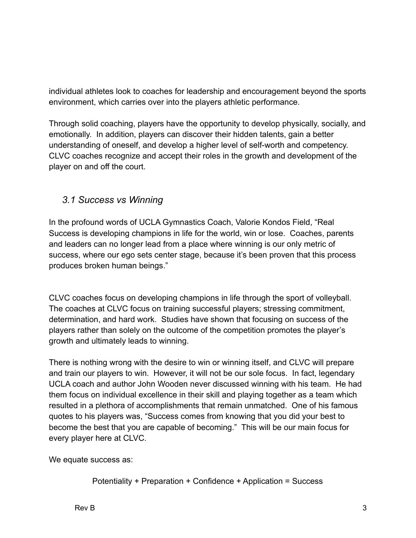individual athletes look to coaches for leadership and encouragement beyond the sports environment, which carries over into the players athletic performance.

Through solid coaching, players have the opportunity to develop physically, socially, and emotionally. In addition, players can discover their hidden talents, gain a better understanding of oneself, and develop a higher level of self-worth and competency. CLVC coaches recognize and accept their roles in the growth and development of the player on and off the court.

#### *3.1 Success vs Winning*

In the profound words of UCLA Gymnastics Coach, Valorie Kondos Field, "Real Success is developing champions in life for the world, win or lose. Coaches, parents and leaders can no longer lead from a place where winning is our only metric of success, where our ego sets center stage, because it's been proven that this process produces broken human beings."

CLVC coaches focus on developing champions in life through the sport of volleyball. The coaches at CLVC focus on training successful players; stressing commitment, determination, and hard work. Studies have shown that focusing on success of the players rather than solely on the outcome of the competition promotes the player's growth and ultimately leads to winning.

There is nothing wrong with the desire to win or winning itself, and CLVC will prepare and train our players to win. However, it will not be our sole focus. In fact, legendary UCLA coach and author John Wooden never discussed winning with his team. He had them focus on individual excellence in their skill and playing together as a team which resulted in a plethora of accomplishments that remain unmatched. One of his famous quotes to his players was, "Success comes from knowing that you did your best to become the best that you are capable of becoming." This will be our main focus for every player here at CLVC.

We equate success as:

```
Potentiality + Preparation + Confidence + Application = Success
```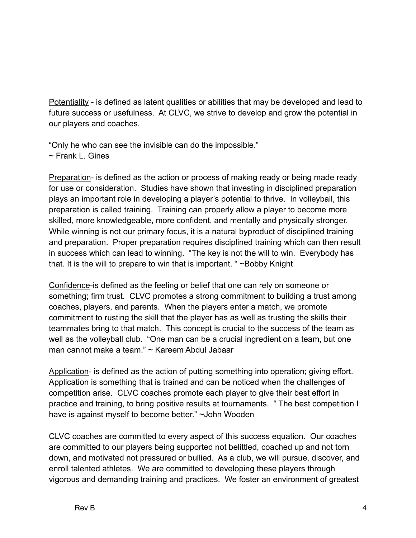Potentiality - is defined as latent qualities or abilities that may be developed and lead to future success or usefulness. At CLVC, we strive to develop and grow the potential in our players and coaches.

"Only he who can see the invisible can do the impossible." ~ Frank L. Gines

Preparation- is defined as the action or process of making ready or being made ready for use or consideration. Studies have shown that investing in disciplined preparation plays an important role in developing a player's potential to thrive. In volleyball, this preparation is called training. Training can properly allow a player to become more skilled, more knowledgeable, more confident, and mentally and physically stronger. While winning is not our primary focus, it is a natural byproduct of disciplined training and preparation. Proper preparation requires disciplined training which can then result in success which can lead to winning. "The key is not the will to win. Everybody has that. It is the will to prepare to win that is important. " ~Bobby Knight

Confidence-is defined as the feeling or belief that one can rely on someone or something; firm trust. CLVC promotes a strong commitment to building a trust among coaches, players, and parents. When the players enter a match, we promote commitment to rusting the skill that the player has as well as trusting the skills their teammates bring to that match. This concept is crucial to the success of the team as well as the volleyball club. "One man can be a crucial ingredient on a team, but one man cannot make a team." ~ Kareem Abdul Jabaar

Application- is defined as the action of putting something into operation; giving effort. Application is something that is trained and can be noticed when the challenges of competition arise. CLVC coaches promote each player to give their best effort in practice and training, to bring positive results at tournaments. " The best competition I have is against myself to become better." ~John Wooden

CLVC coaches are committed to every aspect of this success equation. Our coaches are committed to our players being supported not belittled, coached up and not torn down, and motivated not pressured or bullied. As a club, we will pursue, discover, and enroll talented athletes. We are committed to developing these players through vigorous and demanding training and practices. We foster an environment of greatest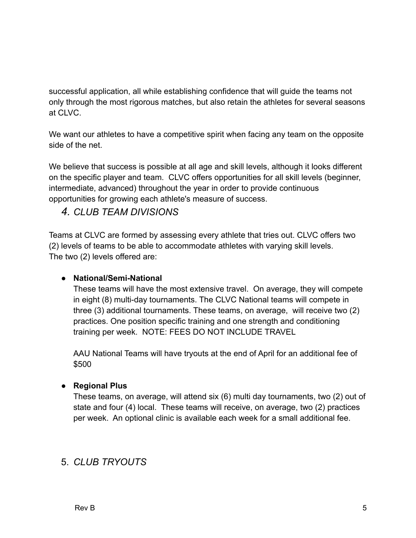successful application, all while establishing confidence that will guide the teams not only through the most rigorous matches, but also retain the athletes for several seasons at CLVC.

We want our athletes to have a competitive spirit when facing any team on the opposite side of the net.

We believe that success is possible at all age and skill levels, although it looks different on the specific player and team. CLVC offers opportunities for all skill levels (beginner, intermediate, advanced) throughout the year in order to provide continuous opportunities for growing each athlete's measure of success.

# *4. CLUB TEAM DIVISIONS*

Teams at CLVC are formed by assessing every athlete that tries out. CLVC offers two (2) levels of teams to be able to accommodate athletes with varying skill levels. The two (2) levels offered are:

#### **● National/Semi-National**

These teams will have the most extensive travel. On average, they will compete in eight (8) multi-day tournaments. The CLVC National teams will compete in three (3) additional tournaments. These teams, on average, will receive two (2) practices. One position specific training and one strength and conditioning training per week. NOTE: FEES DO NOT INCLUDE TRAVEL

AAU National Teams will have tryouts at the end of April for an additional fee of \$500

#### **● Regional Plus**

These teams, on average, will attend six (6) multi day tournaments, two (2) out of state and four (4) local. These teams will receive, on average, two (2) practices per week. An optional clinic is available each week for a small additional fee.

# 5. *CLUB TRYOUTS*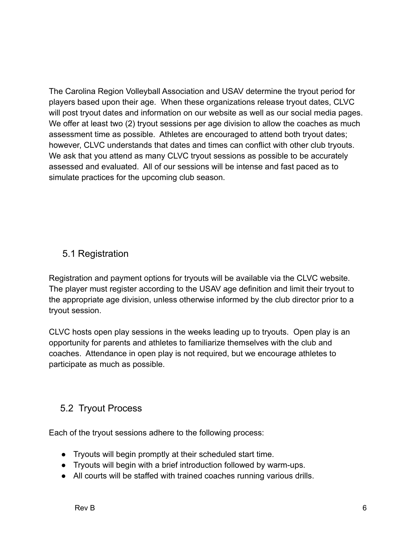The Carolina Region Volleyball Association and USAV determine the tryout period for players based upon their age. When these organizations release tryout dates, CLVC will post tryout dates and information on our website as well as our social media pages. We offer at least two (2) tryout sessions per age division to allow the coaches as much assessment time as possible. Athletes are encouraged to attend both tryout dates; however, CLVC understands that dates and times can conflict with other club tryouts. We ask that you attend as many CLVC tryout sessions as possible to be accurately assessed and evaluated. All of our sessions will be intense and fast paced as to simulate practices for the upcoming club season.

## 5.1 Registration

Registration and payment options for tryouts will be available via the CLVC website. The player must register according to the USAV age definition and limit their tryout to the appropriate age division, unless otherwise informed by the club director prior to a tryout session.

CLVC hosts open play sessions in the weeks leading up to tryouts. Open play is an opportunity for parents and athletes to familiarize themselves with the club and coaches. Attendance in open play is not required, but we encourage athletes to participate as much as possible.

## 5.2 Tryout Process

Each of the tryout sessions adhere to the following process:

- Tryouts will begin promptly at their scheduled start time.
- Tryouts will begin with a brief introduction followed by warm-ups.
- All courts will be staffed with trained coaches running various drills.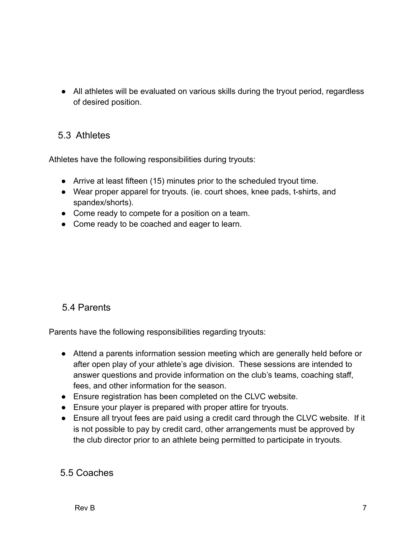● All athletes will be evaluated on various skills during the tryout period, regardless of desired position.

#### 5.3 Athletes

Athletes have the following responsibilities during tryouts:

- Arrive at least fifteen (15) minutes prior to the scheduled tryout time.
- Wear proper apparel for tryouts. (ie. court shoes, knee pads, t-shirts, and spandex/shorts).
- Come ready to compete for a position on a team.
- Come ready to be coached and eager to learn.

## 5.4 Parents

Parents have the following responsibilities regarding tryouts:

- Attend a parents information session meeting which are generally held before or after open play of your athlete's age division. These sessions are intended to answer questions and provide information on the club's teams, coaching staff, fees, and other information for the season.
- Ensure registration has been completed on the CLVC website.
- Ensure your player is prepared with proper attire for tryouts.
- Ensure all tryout fees are paid using a credit card through the CLVC website. If it is not possible to pay by credit card, other arrangements must be approved by the club director prior to an athlete being permitted to participate in tryouts.

#### 5.5 Coaches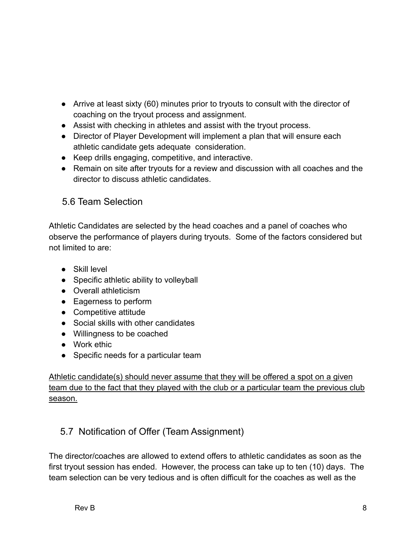- Arrive at least sixty (60) minutes prior to tryouts to consult with the director of coaching on the tryout process and assignment.
- Assist with checking in athletes and assist with the tryout process.
- Director of Player Development will implement a plan that will ensure each athletic candidate gets adequate consideration.
- Keep drills engaging, competitive, and interactive.
- Remain on site after tryouts for a review and discussion with all coaches and the director to discuss athletic candidates.

# 5.6 Team Selection

Athletic Candidates are selected by the head coaches and a panel of coaches who observe the performance of players during tryouts. Some of the factors considered but not limited to are:

- Skill level
- Specific athletic ability to volleyball
- Overall athleticism
- Eagerness to perform
- Competitive attitude
- Social skills with other candidates
- Willingness to be coached
- Work ethic
- Specific needs for a particular team

Athletic candidate(s) should never assume that they will be offered a spot on a given team due to the fact that they played with the club or a particular team the previous club season.

# 5.7 Notification of Offer (Team Assignment)

The director/coaches are allowed to extend offers to athletic candidates as soon as the first tryout session has ended. However, the process can take up to ten (10) days. The team selection can be very tedious and is often difficult for the coaches as well as the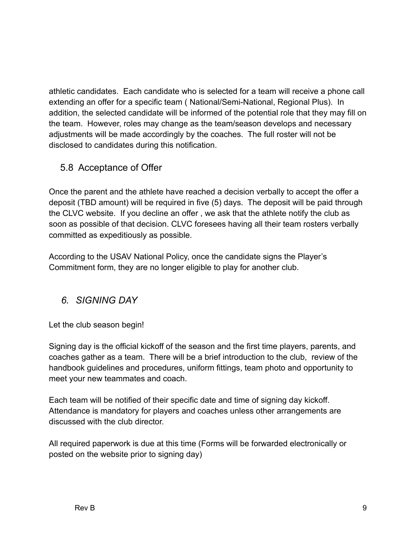athletic candidates. Each candidate who is selected for a team will receive a phone call extending an offer for a specific team ( National/Semi-National, Regional Plus). In addition, the selected candidate will be informed of the potential role that they may fill on the team. However, roles may change as the team/season develops and necessary adjustments will be made accordingly by the coaches. The full roster will not be disclosed to candidates during this notification.

#### 5.8 Acceptance of Offer

Once the parent and the athlete have reached a decision verbally to accept the offer a deposit (TBD amount) will be required in five (5) days. The deposit will be paid through the CLVC website. If you decline an offer , we ask that the athlete notify the club as soon as possible of that decision. CLVC foresees having all their team rosters verbally committed as expeditiously as possible.

According to the USAV National Policy, once the candidate signs the Player's Commitment form, they are no longer eligible to play for another club.

#### *6. SIGNING DAY*

Let the club season begin!

Signing day is the official kickoff of the season and the first time players, parents, and coaches gather as a team. There will be a brief introduction to the club, review of the handbook guidelines and procedures, uniform fittings, team photo and opportunity to meet your new teammates and coach.

Each team will be notified of their specific date and time of signing day kickoff. Attendance is mandatory for players and coaches unless other arrangements are discussed with the club director.

All required paperwork is due at this time (Forms will be forwarded electronically or posted on the website prior to signing day)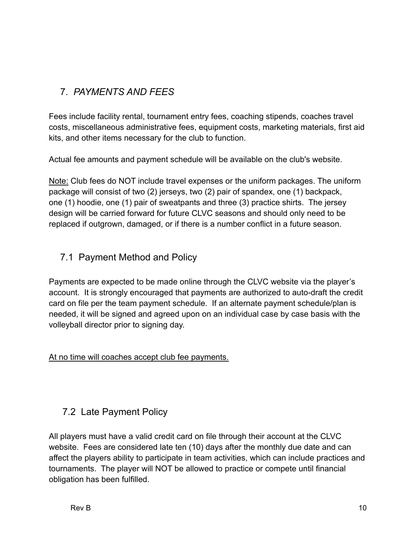# 7. *PAYMENTS AND FEES*

Fees include facility rental, tournament entry fees, coaching stipends, coaches travel costs, miscellaneous administrative fees, equipment costs, marketing materials, first aid kits, and other items necessary for the club to function.

Actual fee amounts and payment schedule will be available on the club's website.

Note: Club fees do NOT include travel expenses or the uniform packages. The uniform package will consist of two (2) jerseys, two (2) pair of spandex, one (1) backpack, one (1) hoodie, one (1) pair of sweatpants and three (3) practice shirts. The jersey design will be carried forward for future CLVC seasons and should only need to be replaced if outgrown, damaged, or if there is a number conflict in a future season.

#### 7.1 Payment Method and Policy

Payments are expected to be made online through the CLVC website via the player's account. It is strongly encouraged that payments are authorized to auto-draft the credit card on file per the team payment schedule. If an alternate payment schedule/plan is needed, it will be signed and agreed upon on an individual case by case basis with the volleyball director prior to signing day.

#### At no time will coaches accept club fee payments.

## 7.2 Late Payment Policy

All players must have a valid credit card on file through their account at the CLVC website. Fees are considered late ten (10) days after the monthly due date and can affect the players ability to participate in team activities, which can include practices and tournaments. The player will NOT be allowed to practice or compete until financial obligation has been fulfilled.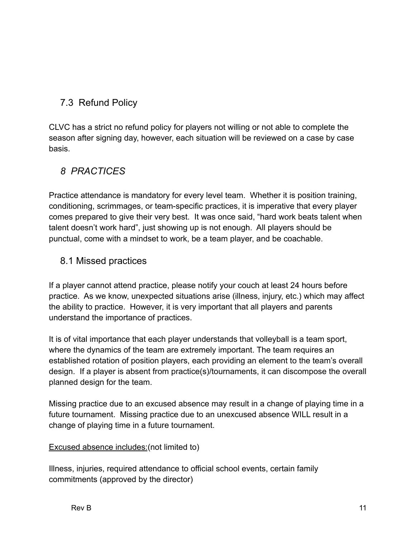# 7.3 Refund Policy

CLVC has a strict no refund policy for players not willing or not able to complete the season after signing day, however, each situation will be reviewed on a case by case basis.

# *8 PRACTICES*

Practice attendance is mandatory for every level team. Whether it is position training, conditioning, scrimmages, or team-specific practices, it is imperative that every player comes prepared to give their very best. It was once said, "hard work beats talent when talent doesn't work hard", just showing up is not enough. All players should be punctual, come with a mindset to work, be a team player, and be coachable.

#### 8.1 Missed practices

If a player cannot attend practice, please notify your couch at least 24 hours before practice. As we know, unexpected situations arise (illness, injury, etc.) which may affect the ability to practice. However, it is very important that all players and parents understand the importance of practices.

It is of vital importance that each player understands that volleyball is a team sport, where the dynamics of the team are extremely important. The team requires an established rotation of position players, each providing an element to the team's overall design. If a player is absent from practice(s)/tournaments, it can discompose the overall planned design for the team.

Missing practice due to an excused absence may result in a change of playing time in a future tournament. Missing practice due to an unexcused absence WILL result in a change of playing time in a future tournament.

#### Excused absence includes:(not limited to)

Illness, injuries, required attendance to official school events, certain family commitments (approved by the director)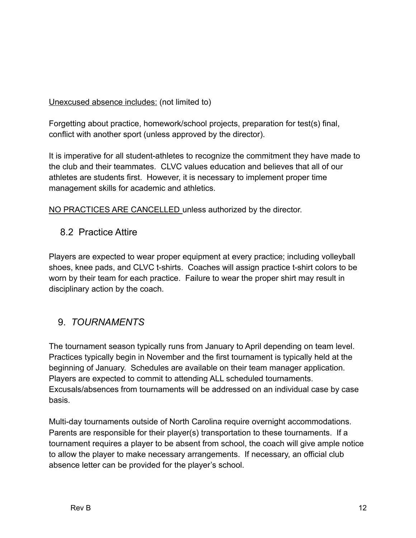Unexcused absence includes: (not limited to)

Forgetting about practice, homework/school projects, preparation for test(s) final, conflict with another sport (unless approved by the director).

It is imperative for all student-athletes to recognize the commitment they have made to the club and their teammates. CLVC values education and believes that all of our athletes are students first. However, it is necessary to implement proper time management skills for academic and athletics.

NO PRACTICES ARE CANCELLED unless authorized by the director.

8.2 Practice Attire

Players are expected to wear proper equipment at every practice; including volleyball shoes, knee pads, and CLVC t-shirts. Coaches will assign practice t-shirt colors to be worn by their team for each practice. Failure to wear the proper shirt may result in disciplinary action by the coach.

## 9. *TOURNAMENTS*

The tournament season typically runs from January to April depending on team level. Practices typically begin in November and the first tournament is typically held at the beginning of January. Schedules are available on their team manager application. Players are expected to commit to attending ALL scheduled tournaments. Excusals/absences from tournaments will be addressed on an individual case by case basis.

Multi-day tournaments outside of North Carolina require overnight accommodations. Parents are responsible for their player(s) transportation to these tournaments. If a tournament requires a player to be absent from school, the coach will give ample notice to allow the player to make necessary arrangements. If necessary, an official club absence letter can be provided for the player's school.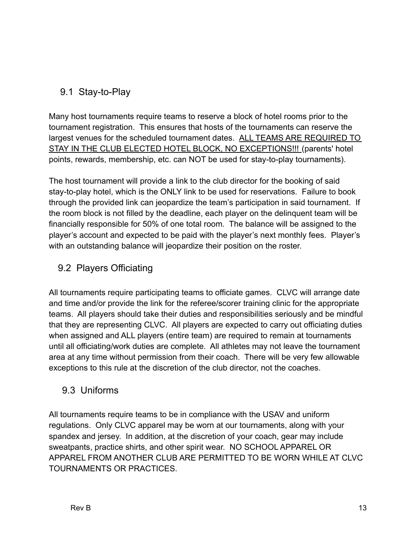# 9.1 Stay-to-Play

Many host tournaments require teams to reserve a block of hotel rooms prior to the tournament registration. This ensures that hosts of the tournaments can reserve the largest venues for the scheduled tournament dates. ALL TEAMS ARE REQUIRED TO STAY IN THE CLUB ELECTED HOTEL BLOCK, NO EXCEPTIONS!!! (parents' hotel points, rewards, membership, etc. can NOT be used for stay-to-play tournaments).

The host tournament will provide a link to the club director for the booking of said stay-to-play hotel, which is the ONLY link to be used for reservations. Failure to book through the provided link can jeopardize the team's participation in said tournament. If the room block is not filled by the deadline, each player on the delinquent team will be financially responsible for 50% of one total room. The balance will be assigned to the player's account and expected to be paid with the player's next monthly fees. Player's with an outstanding balance will jeopardize their position on the roster.

# 9.2 Players Officiating

All tournaments require participating teams to officiate games. CLVC will arrange date and time and/or provide the link for the referee/scorer training clinic for the appropriate teams. All players should take their duties and responsibilities seriously and be mindful that they are representing CLVC. All players are expected to carry out officiating duties when assigned and ALL players (entire team) are required to remain at tournaments until all officiating/work duties are complete. All athletes may not leave the tournament area at any time without permission from their coach. There will be very few allowable exceptions to this rule at the discretion of the club director, not the coaches.

## 9.3 Uniforms

All tournaments require teams to be in compliance with the USAV and uniform regulations. Only CLVC apparel may be worn at our tournaments, along with your spandex and jersey. In addition, at the discretion of your coach, gear may include sweatpants, practice shirts, and other spirit wear. NO SCHOOL APPAREL OR APPAREL FROM ANOTHER CLUB ARE PERMITTED TO BE WORN WHILE AT CLVC TOURNAMENTS OR PRACTICES.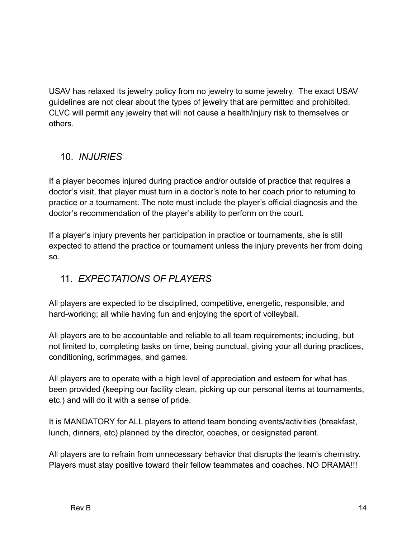USAV has relaxed its jewelry policy from no jewelry to some jewelry. The exact USAV guidelines are not clear about the types of jewelry that are permitted and prohibited. CLVC will permit any jewelry that will not cause a health/injury risk to themselves or others.

# 10. *INJURIES*

If a player becomes injured during practice and/or outside of practice that requires a doctor's visit, that player must turn in a doctor's note to her coach prior to returning to practice or a tournament. The note must include the player's official diagnosis and the doctor's recommendation of the player's ability to perform on the court.

If a player's injury prevents her participation in practice or tournaments, she is still expected to attend the practice or tournament unless the injury prevents her from doing so.

# 11. *EXPECTATIONS OF PLAYERS*

All players are expected to be disciplined, competitive, energetic, responsible, and hard-working; all while having fun and enjoying the sport of volleyball.

All players are to be accountable and reliable to all team requirements; including, but not limited to, completing tasks on time, being punctual, giving your all during practices, conditioning, scrimmages, and games.

All players are to operate with a high level of appreciation and esteem for what has been provided (keeping our facility clean, picking up our personal items at tournaments, etc.) and will do it with a sense of pride.

It is MANDATORY for ALL players to attend team bonding events/activities (breakfast, lunch, dinners, etc) planned by the director, coaches, or designated parent.

All players are to refrain from unnecessary behavior that disrupts the team's chemistry. Players must stay positive toward their fellow teammates and coaches. NO DRAMA!!!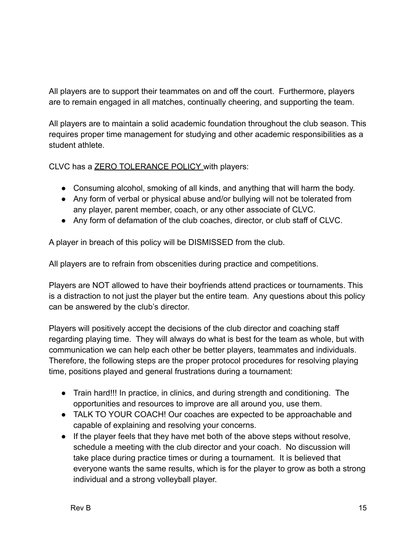All players are to support their teammates on and off the court. Furthermore, players are to remain engaged in all matches, continually cheering, and supporting the team.

All players are to maintain a solid academic foundation throughout the club season. This requires proper time management for studying and other academic responsibilities as a student athlete.

CLVC has a ZERO TOLERANCE POLICY with players:

- Consuming alcohol, smoking of all kinds, and anything that will harm the body.
- Any form of verbal or physical abuse and/or bullying will not be tolerated from any player, parent member, coach, or any other associate of CLVC.
- Any form of defamation of the club coaches, director, or club staff of CLVC.

A player in breach of this policy will be DISMISSED from the club.

All players are to refrain from obscenities during practice and competitions.

Players are NOT allowed to have their boyfriends attend practices or tournaments. This is a distraction to not just the player but the entire team. Any questions about this policy can be answered by the club's director.

Players will positively accept the decisions of the club director and coaching staff regarding playing time. They will always do what is best for the team as whole, but with communication we can help each other be better players, teammates and individuals. Therefore, the following steps are the proper protocol procedures for resolving playing time, positions played and general frustrations during a tournament:

- Train hard!!! In practice, in clinics, and during strength and conditioning. The opportunities and resources to improve are all around you, use them.
- TALK TO YOUR COACH! Our coaches are expected to be approachable and capable of explaining and resolving your concerns.
- If the player feels that they have met both of the above steps without resolve, schedule a meeting with the club director and your coach. No discussion will take place during practice times or during a tournament. It is believed that everyone wants the same results, which is for the player to grow as both a strong individual and a strong volleyball player.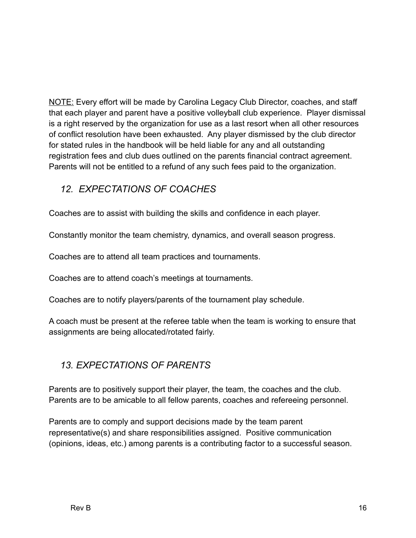NOTE: Every effort will be made by Carolina Legacy Club Director, coaches, and staff that each player and parent have a positive volleyball club experience. Player dismissal is a right reserved by the organization for use as a last resort when all other resources of conflict resolution have been exhausted. Any player dismissed by the club director for stated rules in the handbook will be held liable for any and all outstanding registration fees and club dues outlined on the parents financial contract agreement. Parents will not be entitled to a refund of any such fees paid to the organization.

# *12. EXPECTATIONS OF COACHES*

Coaches are to assist with building the skills and confidence in each player.

Constantly monitor the team chemistry, dynamics, and overall season progress.

Coaches are to attend all team practices and tournaments.

Coaches are to attend coach's meetings at tournaments.

Coaches are to notify players/parents of the tournament play schedule.

A coach must be present at the referee table when the team is working to ensure that assignments are being allocated/rotated fairly.

## *13. EXPECTATIONS OF PARENTS*

Parents are to positively support their player, the team, the coaches and the club. Parents are to be amicable to all fellow parents, coaches and refereeing personnel.

Parents are to comply and support decisions made by the team parent representative(s) and share responsibilities assigned. Positive communication (opinions, ideas, etc.) among parents is a contributing factor to a successful season.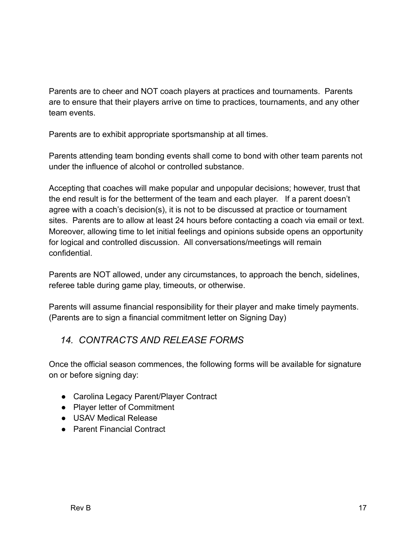Parents are to cheer and NOT coach players at practices and tournaments. Parents are to ensure that their players arrive on time to practices, tournaments, and any other team events.

Parents are to exhibit appropriate sportsmanship at all times.

Parents attending team bonding events shall come to bond with other team parents not under the influence of alcohol or controlled substance.

Accepting that coaches will make popular and unpopular decisions; however, trust that the end result is for the betterment of the team and each player. If a parent doesn't agree with a coach's decision(s), it is not to be discussed at practice or tournament sites. Parents are to allow at least 24 hours before contacting a coach via email or text. Moreover, allowing time to let initial feelings and opinions subside opens an opportunity for logical and controlled discussion. All conversations/meetings will remain confidential.

Parents are NOT allowed, under any circumstances, to approach the bench, sidelines, referee table during game play, timeouts, or otherwise.

Parents will assume financial responsibility for their player and make timely payments. (Parents are to sign a financial commitment letter on Signing Day)

## *14. CONTRACTS AND RELEASE FORMS*

Once the official season commences, the following forms will be available for signature on or before signing day:

- Carolina Legacy Parent/Player Contract
- Player letter of Commitment
- USAV Medical Release
- Parent Financial Contract